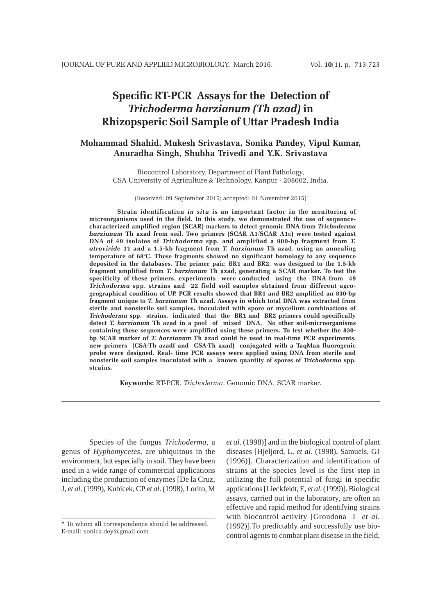# **Specific RT-PCR Assays for the Detection of** *Trichoderma harzianum (Th azad)* **in Rhizopsperic Soil Sample of Uttar Pradesh India**

# **Mohammad Shahid, Mukesh Srivastava, Sonika Pandey, Vipul Kumar, Anuradha Singh, Shubha Trivedi and Y.K. Srivastava**

Biocontrol Laboratory, Department of Plant Pathology, CSA University of Agriculture & Technology, Kanpur - 208002, India.

(Received: 09 September 2015; accepted: 01 November 2015)

**Strain identification** *in situ* **is an important factor in the monitoring of microorganisms used in the field. In this study, we demonstrated the use of sequencecharacterized amplified region (SCAR) markers to detect genomic DNA from** *Trichoderma harzianum* **Th azad from soil. Two primers (SCAR A1/SCAR A1c) were tested against DNA of 49 isolates of** *Trichoderma* **spp. and amplified a 900-bp fragment from** *T. atroviride* **11 and a 1.5-kb fragment from** *T. harzianum* **Th azad, using an annealing temperature of 68°C. These fragments showed no significant homology to any sequence deposited in the databases. The primer pair, BR1 and BR2, was designed to the 1.5-kb fragment amplified from** *T. harzianum* **Th azad, generating a SCAR marker. To test the specificity of these primers, experiments were conducted using the DNA from 49** *Trichoderma* **spp. strains and 22 field soil samples obtained from different agrogeographical condition of UP. PCR results showed that BR1 and BR2 amplified an 830-bp fragment unique to** *T. harzianum* **Th azad. Assays in which total DNA was extracted from sterile and nonsterile soil samples, inoculated with spore or mycelium combinations of** *Trichoderma* **spp. strains, indicated that the BR1 and BR2 primers could specifically detect** *T. harzianum* **Th azad in a pool of mixed DNA. No other soil-microorganisms containing these sequences were amplified using these primers. To test whether the 830 bp SCAR marker of** *T. harzianum* **Th azad could be used in real-time PCR experiments, new primers (CSA-Th azadf and CSA-Th azad) conjugated with a TaqMan fluorogenic probe were designed. Real- time PCR assays were applied using DNA from sterile and nonsterile soil samples inoculated with a known quantity of spores of** *Trichoderma* **spp. strains.**

**Keywords:** RT-PCR, *Trichoderma*, Genomic DNA, SCAR marker.

Species of the fungus *Trichoderma*, a genus of *Hyphomycetes*, are ubiquitous in the environment, but especially in soil. They have been used in a wide range of commercial applications including the production of enzymes [De la Cruz, J, *et al*. (1999), Kubicek, CP *et al*. (1998), Lorito, M

*et al*. (1998)] and in the biological control of plant diseases [Hjeljord, L, *et al*. (1998), Samuels, GJ (1996)]. Characterization and identification of strains at the species level is the first step in utilizing the full potential of fungi in specific applications [Lieckfeldt, E, *et al*. (1999)]. Biological assays, carried out in the laboratory, are often an effective and rapid method for identifying strains with biocontrol activity [Grondona I *et al*. (1992)].To predictably and successfully use biocontrol agents to combat plant disease in the field,

<sup>\*</sup> To whom all correspondence should be addressed. E-mail: sonica.dey@gmail.com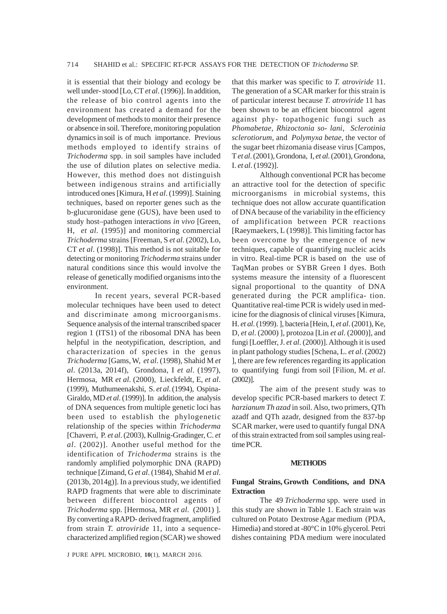it is essential that their biology and ecology be well under- stood [Lo, CT *et al*. (1996)]. In addition, the release of bio control agents into the environment has created a demand for the development of methods to monitor their presence or absence in soil. Therefore, monitoring population dynamics in soil is of much importance. Previous methods employed to identify strains of *Trichoderma* spp. in soil samples have included the use of dilution plates on selective media. However, this method does not distinguish between indigenous strains and artificially introduced ones [Kimura, H *et al*. (1999)]. Staining techniques, based on reporter genes such as the b-glucuronidase gene (GUS), have been used to study host–pathogen interactions *in vivo* [Green, H, *et al*. (1995)] and monitoring commercial *Trichoderma* strains [Freeman, S *et al*. (2002), Lo, CT *et al*. (1998)]. This method is not suitable for detecting or monitoring *Trichoderma* strains under natural conditions since this would involve the release of genetically modified organisms into the environment.

In recent years, several PCR-based molecular techniques have been used to detect and discriminate among microorganisms. Sequence analysis of the internal transcribed spacer region 1 (ITS1) of the ribosomal DNA has been helpful in the neotypification, description, and characterization of species in the genus *Trichoderma* [Gams, W, *et al*. (1998), Shahid M *et al*. (2013a, 2014f), Grondona, I *et al*. (1997), Hermosa, MR *et al*. (2000), Lieckfeldt, E, *et al*. (1999), Muthumeenakshi, S. *et al*. (1994), Ospina-Giraldo, MD *et al*. (1999)]. In addition, the analysis of DNA sequences from multiple genetic loci has been used to establish the phylogenetic relationship of the species within *Trichoderma* [Chaverri, P. *et al*. (2003), Kullnig-Gradinger, C. *et al*. (2002)]. Another useful method for the identification of *Trichoderma* strains is the randomly amplified polymorphic DNA (RAPD) technique [Zimand, G *et al*. (1984), Shahid M *et al*. (2013b, 2014g)]. In a previous study, we identified RAPD fragments that were able to discriminate between different biocontrol agents of *Trichoderma* spp. [Hermosa, MR *et al*. (2001) ]. By converting a RAPD- derived fragment, amplified from strain *T. atroviride* 11, into a sequencecharacterized amplified region (SCAR) we showed

J PURE APPL MICROBIO*,* **10**(1), MARCH 2016.

that this marker was specific to *T. atroviride* 11. The generation of a SCAR marker for this strain is of particular interest because *T. atroviride* 11 has been shown to be an efficient biocontrol agent against phy- topathogenic fungi such as *Phomabetae*, *Rhizoctonia so- lani*, *Sclerotinia sclerotiorum*, and *Polymyxa betae,* the vector of the sugar beet rhizomania disease virus [Campos, T *et al*. (2001), Grondona, I, *et al*. (2001), Grondona, I. *et al*. (1992)].

Although conventional PCR has become an attractive tool for the detection of specific microorganisms in microbial systems, this technique does not allow accurate quantification of DNA because of the variability in the efficiency of amplification between PCR reactions [Raeymaekers, L (1998)]. This limiting factor has been overcome by the emergence of new techniques, capable of quantifying nucleic acids in vitro. Real-time PCR is based on the use of TaqMan probes or SYBR Green I dyes. Both systems measure the intensity of a fluorescent signal proportional to the quantity of DNA generated during the PCR amplifica- tion. Quantitative real-time PCR is widely used in medicine for the diagnosis of clinical viruses [Kimura, H. *et al*. (1999). ], bacteria [Hein, I, *et al*. (2001), Ke, D, *et al*. (2000) ], protozoa [Lin *et al*. (2000)], and fungi [Loeffler, J. *et al*. (2000)]. Although it is used in plant pathology studies [Schena, L. *et al*. (2002) ], there are few references regarding its application to quantifying fungi from soil [Filion, M. *et al*. (2002)].

The aim of the present study was to develop specific PCR-based markers to detect *T. harzianum Th azad* in soil. Also, two primers, QTh azadf and QTh azadr, designed from the 837-bp SCAR marker, were used to quantify fungal DNA of this strain extracted from soil samples using realtime PCR.

#### **METHODS**

### **Fungal Strains, Growth Conditions, and DNA Extraction**

The 49 *Trichoderma* spp. were used in this study are shown in Table 1. Each strain was cultured on Potato Dextrose Agar medium (PDA, Himedia) and stored at -80°C in 10% glycerol. Petri dishes containing PDA medium were inoculated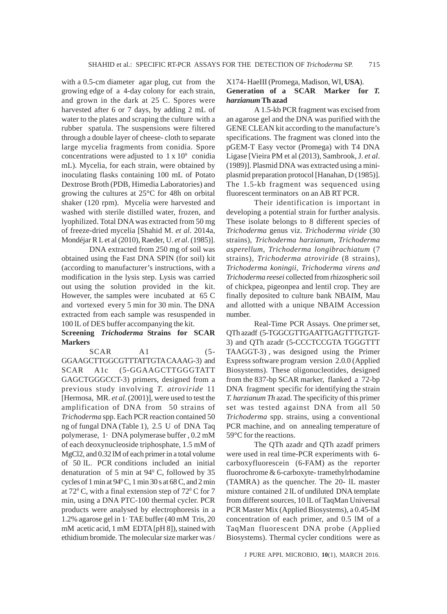with a 0.5-cm diameter agar plug, cut from the growing edge of a 4-day colony for each strain, and grown in the dark at 25 C. Spores were harvested after 6 or 7 days, by adding 2 mL of water to the plates and scraping the culture with a rubber spatula. The suspensions were filtered through a double layer of cheese- cloth to separate large mycelia fragments from conidia. Spore concentrations were adjusted to  $1 \times 10^9$  conidia mL). Mycelia, for each strain, were obtained by inoculating flasks containing 100 mL of Potato Dextrose Broth (PDB, Himedia Laboratories) and growing the cultures at 25°C for 48h on orbital shaker (120 rpm). Mycelia were harvested and washed with sterile distilled water, frozen, and lyophilized. Total DNA was extracted from 50 mg of freeze-dried mycelia [Shahid M. *et al*. 2014a, Mondéjar R L et al (2010), Raeder, U. *et al*. (1985)].

DNA extracted from 250 mg of soil was obtained using the Fast DNA SPIN (for soil) kit (according to manufacturer's instructions, with a modification in the lysis step. Lysis was carried out using the solution provided in the kit. However, the samples were incubated at 65 C and vortexed every 5 min for 30 min. The DNA extracted from each sample was resuspended in 100 lL of DES buffer accompanying the kit.

## **Screening** *Trichoderma* **Strains for SCAR Markers**

 $SCAR$   $A1$   $(5-$ GGAAGCTTGGCGTTTATTGTA CAAAG-3) and SCAR A1c (5-GGAAGCTTGGGTATT GAGCTGGGCCT-3) primers, designed from a previous study involving *T. atroviride* 11 [Hermosa, MR. *et al*. (2001)], were used to test the amplification of DNA from 50 strains of *Trichoderma* spp. Each PCR reaction contained 50 ng of fungal DNA (Table 1), 2.5 U of DNA Taq polymerase, 1· DNA polymerase buffer , 0.2 mM of each deoxynucleoside triphosphate, 1.5 mM of MgCl2, and 0.32 lM of each primer in a total volume of 50 lL. PCR conditions included an initial denaturation of 5 min at  $94^{\circ}$  C, followed by 35 cycles of 1 min at  $94^{\circ}$ C, 1 min 30 s at 68 C, and 2 min at  $72^{\circ}$  C, with a final extension step of  $72^{\circ}$  C for 7 min, using a DNA PTC-100 thermal cycler. PCR products were analysed by electrophoresis in a 1.2% agarose gel in 1· TAE buffer (40 mM Tris, 20 mM acetic acid, 1 mM EDTA [pH 8]), stained with ethidium bromide. The molecular size marker was /

## X174- HaeIII (Promega, Madison, WI, **USA**). **Generation of a SCAR Marker for** *T. harzianum* **Th azad**

A 1.5-kb PCR fragment was excised from an agarose gel and the DNA was purified with the GENE CLEAN kit according to the manufacture's specifications. The fragment was cloned into the pGEM-T Easy vector (Promega) with T4 DNA Ligase [Vieira PM et al (2013), Sambrook, J. *et al*. (1989)]. Plasmid DNA was extracted using a miniplasmid preparation protocol [Hanahan, D (1985)]. The 1.5-kb fragment was sequenced using fluorescent terminators on an AB RT PCR.

Their identification is important in developing a potential strain for further analysis. These isolate belongs to 8 different species of *Trichoderma* genus viz. *Trichoderma viride* (30 strains), *Trichoderma harzianum, Trichoderma asperellum, Trichoderma longibrachiatum* (7 strains), *Trichoderma atroviride* (8 strains), *Trichoderma koningii, Trichoderma virens and Trichoderma reesei* collected from rhizospheric soil of chickpea, pigeonpea and lentil crop. They are finally deposited to culture bank NBAIM, Mau and allotted with a unique NBAIM Accession number.

Real-Time PCR Assays. One primer set, QTh azadf (5-TGGCGTTGAATTGAGTTTGTGT-3) and QTh azadr (5-CCCTCCGTA TGGGTTT TAAGGT-3) , was designed using the Primer Express software program version 2.0.0 (Applied Biosystems). These oligonucleotides, designed from the 837-bp SCAR marker, flanked a 72-bp DNA fragment specific for identifying the strain *T. harzianum Th* azad. The specificity of this primer set was tested against DNA from all 50 *Trichoderma* spp. strains, using a conventional PCR machine, and on annealing temperature of 59°C for the reactions.

The QTh azadr and QTh azadf primers were used in real time-PCR experiments with 6 carboxyfluorescein (6-FAM) as the reporter fluorochrome & 6-carboxyte- tramethylrhodamine (TAMRA) as the quencher. The 20- lL master mixture contained 2 lL of undiluted DNA template from different sources, 10 lL of TaqMan Universal PCR Master Mix (Applied Biosystems), a 0.45-lM concentration of each primer, and 0.5 lM of a TaqMan fluorescent DNA probe (Applied Biosystems). Thermal cycler conditions were as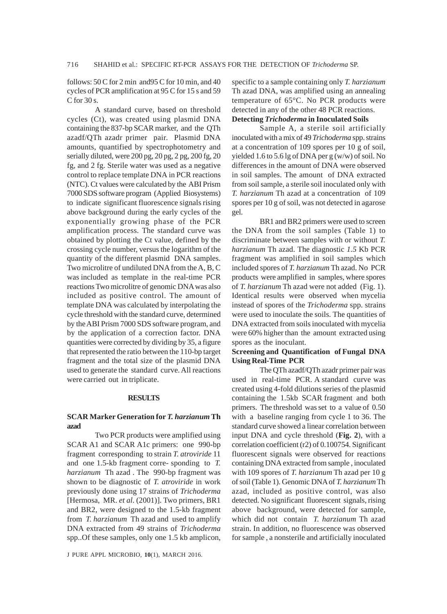follows:  $50 \text{ C}$  for  $2 \text{ min}$  and  $95 \text{ C}$  for  $10 \text{ min}$ , and  $40 \text{ m}$ cycles of PCR amplification at 95 C for 15 s and 59  $C$  for 30 s.

A standard curve, based on threshold cycles (Ct), was created using plasmid DNA containing the 837-bp SCAR marker, and the QTh azadf/QTh azadr primer pair. Plasmid DNA amounts, quantified by spectrophotometry and serially diluted, were 200 pg, 20 pg, 2 pg, 200 fg, 20 fg, and 2 fg. Sterile water was used as a negative control to replace template DNA in PCR reactions (NTC). Ct values were calculated by the ABI Prism 7000 SDS software program (Applied Biosystems) to indicate significant fluorescence signals rising above background during the early cycles of the exponentially growing phase of the PCR amplification process. The standard curve was obtained by plotting the Ct value, defined by the crossing cycle number, versus the logarithm of the quantity of the different plasmid DNA samples. Two microlitre of undiluted DNA from the A, B, C was included as template in the real-time PCR reactions Two microlitre of genomic DNA was also included as positive control. The amount of template DNA was calculated by interpolating the cycle threshold with the standard curve, determined by the ABI Prism 7000 SDS software program, and by the application of a correction factor. DNA quantities were corrected by dividing by 35, a figure that represented the ratio between the 110-bp target fragment and the total size of the plasmid DNA used to generate the standard curve. All reactions were carried out in triplicate.

#### **RESULTS**

#### **SCAR Marker Generation for** *T. harzianum* **Th azad**

Two PCR products were amplified using SCAR A1 and SCAR A1c primers: one 990-bp fragment corresponding to strain *T. atroviride* 11 and one 1.5-kb fragment corre- sponding to *T. harzianum* Th azad . The 990-bp fragment was shown to be diagnostic of *T. atroviride* in work previously done using 17 strains of *Trichoderma* [Hermosa, MR. *et al*. (2001)]. Two primers, BR1 and BR2, were designed to the 1.5-kb fragment from *T. harzianum* Th azad and used to amplify DNA extracted from 49 strains of *Trichoderma* spp..Of these samples, only one 1.5 kb amplicon,

J PURE APPL MICROBIO*,* **10**(1), MARCH 2016.

specific to a sample containing only *T. harzianum* Th azad DNA, was amplified using an annealing temperature of 65°C. No PCR products were detected in any of the other 48 PCR reactions. **Detecting** *Trichoderma* **in Inoculated Soils**

Sample A, a sterile soil artificially inoculated with a mix of 49 *Trichoderma* spp. strains at a concentration of 109 spores per 10 g of soil, yielded 1.6 to 5.6 lg of DNA per g (w/w) of soil. No differences in the amount of DNA were observed in soil samples. The amount of DNA extracted from soil sample, a sterile soil inoculated only with *T. harzianum* Th azad at a concentration of 109 spores per 10 g of soil, was not detected in agarose gel.

BR1 and BR2 primers were used to screen the DNA from the soil samples (Table 1) to discriminate between samples with or without *T. harzianum* Th azad. The diagnostic *1.5* Kb PCR fragment was amplified in soil samples which included spores of *T. harzianum* Th azad. No PCR products were amplified in samples, where spores of *T. harzianum* Th azad were not added (Fig. 1). Identical results were observed when mycelia instead of spores of the *Trichoderma* spp. strains were used to inoculate the soils. The quantities of DNA extracted from soils inoculated with mycelia were 60% higher than the amount extracted using spores as the inoculant.

## **Screening and Quantification of Fungal DNA Using Real-Time PCR**

The QTh azadf/QTh azadr primer pair was used in real-time PCR. A standard curve was created using 4-fold dilutions series of the plasmid containing the 1.5kb SCAR fragment and both primers. The threshold was set to a value of 0.50 with a baseline ranging from cycle 1 to 36. The standard curve showed a linear correlation between input DNA and cycle threshold (**Fig. 2**), with a correlation coefficient (r2) of 0.100754. Significant fluorescent signals were observed for reactions containing DNA extracted from sample , inoculated with 109 spores of *T. harzianum* Th azad per 10 g of soil (Table 1). Genomic DNA of *T. harzianum* Th azad, included as positive control, was also detected. No significant fluorescent signals, rising above background, were detected for sample, which did not contain *T. harzianum* Th azad strain. In addition, no fluorescence was observed for sample , a nonsterile and artificially inoculated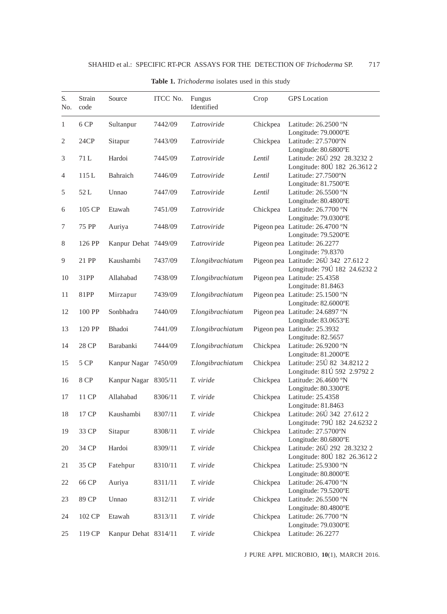| S.<br>No. | Strain<br>code | Source               | ITCC No. | Fungus<br>Identified | Crop     | <b>GPS</b> Location                                                         |
|-----------|----------------|----------------------|----------|----------------------|----------|-----------------------------------------------------------------------------|
| 1         | 6 CP           | Sultanpur            | 7442/09  | T.atroviride         | Chickpea | Latitude: 26.2500 °N<br>Longitude: 79.0000°E                                |
| 2         | 24CP           | Sitapur              | 7443/09  | <i>T.atroviride</i>  | Chickpea | Latitude: 27.5700°N<br>Longitude: 80.6800°E                                 |
| 3         | 71 L           | Hardoi               | 7445/09  | T.atroviride         | Lentil   | Latitude: 26Ú 292 28.3232 2<br>Longitude: 80Ú 182 26.3612 2                 |
| 4         | 115L           | Bahraich             | 7446/09  | T.atroviride         | Lentil   | Latitude: 27.7500°N<br>Longitude: 81.7500°E                                 |
| 5         | 52L            | Unnao                | 7447/09  | T.atroviride         | Lentil   | Latitude: 26.5500 °N<br>Longitude: 80.4800°E                                |
| 6         | 105 CP         | Etawah               | 7451/09  | <i>T.atroviride</i>  | Chickpea | Latitude: 26.7700 °N<br>Longitude: 79.0300°E                                |
| 7         | 75 PP          | Auriya               | 7448/09  | T.atroviride         |          | Pigeon pea Latitude: 26.4700 °N<br>Longitude: 79.5200°E                     |
| 8         | 126 PP         | Kanpur Dehat 7449/09 |          | <i>T.atroviride</i>  |          | Pigeon pea Latitude: 26.2277<br>Longitude: 79.8370                          |
| 9         | 21 PP          | Kaushambi            | 7437/09  | T.longibrachiatum    |          | Pigeon pea Latitude: 26Ú 342 27.6122<br>Longitude: 79Ú 182 24.6232 2        |
| 10        | 31PP           | Allahabad            | 7438/09  | T.longibrachiatum    |          | Pigeon pea Latitude: 25.4358<br>Longitude: 81.8463                          |
| 11        | 81PP           | Mirzapur             | 7439/09  | T.longibrachiatum    |          | Pigeon pea Latitude: 25.1500 °N<br>Longitude: 82.6000°E                     |
| 12        | 100 PP         | Sonbhadra            | 7440/09  | T.longibrachiatum    |          | Pigeon pea Latitude: 24.6897 °N<br>Longitude: 83.0653°E                     |
| 13        | 120 PP         | Bhadoi               | 7441/09  | T.longibrachiatum    |          | Pigeon pea Latitude: 25.3932<br>Longitude: 82.5657                          |
| 14        | 28 CP          | Barabanki            | 7444/09  | T.longibrachiatum    | Chickpea | Latitude: 26.9200 °N<br>Longitude: 81.2000°E                                |
| 15        | 5 CP           | Kanpur Nagar 7450/09 |          | T.longibrachiatum    | Chickpea | Latitude: 25Ú 82 34.82122                                                   |
| 16        | 8 CP           | Kanpur Nagar 8305/11 |          | T. viride            | Chickpea | Longitude: 81Ú 592 2.9792 2<br>Latitude: 26.4600 °N<br>Longitude: 80.3300°E |
| 17        | 11 CP          | Allahabad            | 8306/11  | T. viride            | Chickpea | Latitude: 25.4358<br>Longitude: 81.8463                                     |
| 18        | 17 CP          | Kaushambi            | 8307/11  | T. viride            | Chickpea | Latitude: 26Ú 342 27.6122<br>Longitude: 79Ú 182 24.6232 2                   |
| 19        | 33 CP          | Sitapur              | 8308/11  | T. viride            | Chickpea | Latitude: 27.5700°N<br>Longitude: 80.6800°E                                 |
| 20        | 34 CP          | Hardoi               | 8309/11  | T. viride            | Chickpea | Latitude: 26Ú 292 28.3232 2<br>Longitude: 80Ú 182 26.3612 2                 |
| 21        | 35 CP          | Fatehpur             | 8310/11  | T. viride            | Chickpea | Latitude: 25.9300 °N                                                        |
| 22        | 66 CP          | Auriya               | 8311/11  | T. viride            | Chickpea | Longitude: 80.8000°E<br>Latitude: 26.4700 °N                                |
| 23        | 89 CP          | Unnao                | 8312/11  | T. viride            | Chickpea | Longitude: 79.5200°E<br>Latitude: 26.5500 °N                                |
| 24        | 102 CP         | Etawah               | 8313/11  | T. viride            | Chickpea | Longitude: 80.4800°E<br>Latitude: 26.7700 °N                                |
| 25        | 119 CP         | Kanpur Dehat 8314/11 |          | T. viride            | Chickpea | Longitude: 79.0300°E<br>Latitude: 26.2277                                   |

## **Table 1.** *Trichoderma* isolates used in this study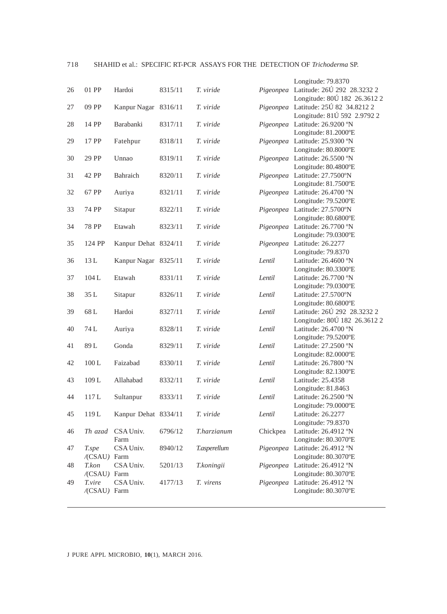## 718 SHAHID et al.: SPECIFIC RT-PCR ASSAYS FOR THE DETECTION OF *Trichoderma* SP.

|       |                                                                                                                                       |                                                                                                                                                                                                                               |                                                                                                                                                                                                                                  |                                                                                                                                                                                                       | Longitude: 79.8370                                                                                           |
|-------|---------------------------------------------------------------------------------------------------------------------------------------|-------------------------------------------------------------------------------------------------------------------------------------------------------------------------------------------------------------------------------|----------------------------------------------------------------------------------------------------------------------------------------------------------------------------------------------------------------------------------|-------------------------------------------------------------------------------------------------------------------------------------------------------------------------------------------------------|--------------------------------------------------------------------------------------------------------------|
| 01 PP | Hardoi                                                                                                                                | 8315/11                                                                                                                                                                                                                       | T. viride                                                                                                                                                                                                                        |                                                                                                                                                                                                       | Pigeonpea Latitude: 26Ú 292 28.3232 2                                                                        |
|       |                                                                                                                                       |                                                                                                                                                                                                                               |                                                                                                                                                                                                                                  |                                                                                                                                                                                                       | Longitude: 80Ú 182 26.3612 2                                                                                 |
| 09 PP |                                                                                                                                       |                                                                                                                                                                                                                               | T. viride                                                                                                                                                                                                                        |                                                                                                                                                                                                       | Pigeonpea Latitude: 25Ú 82 34.82122                                                                          |
|       |                                                                                                                                       |                                                                                                                                                                                                                               |                                                                                                                                                                                                                                  |                                                                                                                                                                                                       | Longitude: 81Ú 592 2.9792 2                                                                                  |
| 14 PP | Barabanki                                                                                                                             | 8317/11                                                                                                                                                                                                                       | T. viride                                                                                                                                                                                                                        |                                                                                                                                                                                                       | Pigeonpea Latitude: 26.9200 °N                                                                               |
|       |                                                                                                                                       |                                                                                                                                                                                                                               |                                                                                                                                                                                                                                  |                                                                                                                                                                                                       | Longitude: 81.2000°E                                                                                         |
| 17 PP | Fatehpur                                                                                                                              | 8318/11                                                                                                                                                                                                                       | T. viride                                                                                                                                                                                                                        |                                                                                                                                                                                                       | Pigeonpea Latitude: 25.9300 °N                                                                               |
|       |                                                                                                                                       |                                                                                                                                                                                                                               |                                                                                                                                                                                                                                  |                                                                                                                                                                                                       | Longitude: 80.8000°E                                                                                         |
| 29 PP | Unnao                                                                                                                                 | 8319/11                                                                                                                                                                                                                       | T. viride                                                                                                                                                                                                                        |                                                                                                                                                                                                       | Pigeonpea Latitude: 26.5500 °N                                                                               |
|       |                                                                                                                                       |                                                                                                                                                                                                                               |                                                                                                                                                                                                                                  |                                                                                                                                                                                                       | Longitude: 80.4800°E                                                                                         |
| 42 PP | Bahraich                                                                                                                              | 8320/11                                                                                                                                                                                                                       | T. viride                                                                                                                                                                                                                        |                                                                                                                                                                                                       | Pigeonpea Latitude: 27.7500°N                                                                                |
|       |                                                                                                                                       |                                                                                                                                                                                                                               |                                                                                                                                                                                                                                  |                                                                                                                                                                                                       | Longitude: 81.7500°E                                                                                         |
| 67 PP | Auriya                                                                                                                                | 8321/11                                                                                                                                                                                                                       | T. viride                                                                                                                                                                                                                        |                                                                                                                                                                                                       | Pigeonpea Latitude: 26.4700 °N                                                                               |
|       |                                                                                                                                       |                                                                                                                                                                                                                               |                                                                                                                                                                                                                                  |                                                                                                                                                                                                       | Longitude: 79.5200°E                                                                                         |
| 74 PP |                                                                                                                                       | 8322/11                                                                                                                                                                                                                       | T. viride                                                                                                                                                                                                                        |                                                                                                                                                                                                       | Pigeonpea Latitude: 27.5700°N                                                                                |
|       |                                                                                                                                       |                                                                                                                                                                                                                               |                                                                                                                                                                                                                                  |                                                                                                                                                                                                       | Longitude: 80.6800°E                                                                                         |
|       |                                                                                                                                       | 8323/11                                                                                                                                                                                                                       | T. viride                                                                                                                                                                                                                        |                                                                                                                                                                                                       | Pigeonpea Latitude: 26.7700 °N                                                                               |
|       |                                                                                                                                       |                                                                                                                                                                                                                               |                                                                                                                                                                                                                                  |                                                                                                                                                                                                       | Longitude: 79.0300°E                                                                                         |
|       |                                                                                                                                       |                                                                                                                                                                                                                               |                                                                                                                                                                                                                                  |                                                                                                                                                                                                       | Pigeonpea Latitude: 26.2277                                                                                  |
|       |                                                                                                                                       |                                                                                                                                                                                                                               |                                                                                                                                                                                                                                  |                                                                                                                                                                                                       | Longitude: 79.8370                                                                                           |
|       |                                                                                                                                       |                                                                                                                                                                                                                               |                                                                                                                                                                                                                                  |                                                                                                                                                                                                       | Latitude: 26.4600 °N                                                                                         |
|       |                                                                                                                                       |                                                                                                                                                                                                                               |                                                                                                                                                                                                                                  |                                                                                                                                                                                                       | Longitude: 80.3300°E                                                                                         |
|       |                                                                                                                                       |                                                                                                                                                                                                                               |                                                                                                                                                                                                                                  |                                                                                                                                                                                                       | Latitude: 26.7700 °N                                                                                         |
|       |                                                                                                                                       |                                                                                                                                                                                                                               |                                                                                                                                                                                                                                  |                                                                                                                                                                                                       | Longitude: 79.0300°E                                                                                         |
|       |                                                                                                                                       |                                                                                                                                                                                                                               |                                                                                                                                                                                                                                  |                                                                                                                                                                                                       | Latitude: 27.5700°N                                                                                          |
|       |                                                                                                                                       |                                                                                                                                                                                                                               |                                                                                                                                                                                                                                  |                                                                                                                                                                                                       | Longitude: 80.6800°E                                                                                         |
|       |                                                                                                                                       |                                                                                                                                                                                                                               |                                                                                                                                                                                                                                  |                                                                                                                                                                                                       | Latitude: 26Ú 292 28.3232 2                                                                                  |
|       |                                                                                                                                       |                                                                                                                                                                                                                               |                                                                                                                                                                                                                                  |                                                                                                                                                                                                       | Longitude: 80Ú 182 26.3612 2                                                                                 |
|       |                                                                                                                                       |                                                                                                                                                                                                                               |                                                                                                                                                                                                                                  |                                                                                                                                                                                                       | Latitude: 26.4700 °N                                                                                         |
|       |                                                                                                                                       |                                                                                                                                                                                                                               |                                                                                                                                                                                                                                  |                                                                                                                                                                                                       | Longitude: 79.5200°E                                                                                         |
|       |                                                                                                                                       |                                                                                                                                                                                                                               |                                                                                                                                                                                                                                  |                                                                                                                                                                                                       | Latitude: 27.2500 °N                                                                                         |
|       |                                                                                                                                       |                                                                                                                                                                                                                               |                                                                                                                                                                                                                                  |                                                                                                                                                                                                       | Longitude: 82.0000°E                                                                                         |
|       |                                                                                                                                       |                                                                                                                                                                                                                               |                                                                                                                                                                                                                                  |                                                                                                                                                                                                       | Latitude: 26.7800 °N                                                                                         |
|       |                                                                                                                                       |                                                                                                                                                                                                                               |                                                                                                                                                                                                                                  |                                                                                                                                                                                                       | Longitude: 82.1300°E<br>Latitude: 25.4358                                                                    |
|       |                                                                                                                                       |                                                                                                                                                                                                                               |                                                                                                                                                                                                                                  |                                                                                                                                                                                                       | Longitude: 81.8463                                                                                           |
|       |                                                                                                                                       |                                                                                                                                                                                                                               |                                                                                                                                                                                                                                  |                                                                                                                                                                                                       | Latitude: 26.2500 °N                                                                                         |
|       |                                                                                                                                       |                                                                                                                                                                                                                               |                                                                                                                                                                                                                                  |                                                                                                                                                                                                       | Longitude: 79.0000°E                                                                                         |
|       |                                                                                                                                       |                                                                                                                                                                                                                               |                                                                                                                                                                                                                                  |                                                                                                                                                                                                       | Latitude: 26.2277                                                                                            |
|       |                                                                                                                                       |                                                                                                                                                                                                                               |                                                                                                                                                                                                                                  |                                                                                                                                                                                                       | Longitude: 79.8370                                                                                           |
|       |                                                                                                                                       |                                                                                                                                                                                                                               |                                                                                                                                                                                                                                  |                                                                                                                                                                                                       | Latitude: 26.4912 °N                                                                                         |
|       |                                                                                                                                       |                                                                                                                                                                                                                               |                                                                                                                                                                                                                                  |                                                                                                                                                                                                       | Longitude: 80.3070°E                                                                                         |
|       |                                                                                                                                       |                                                                                                                                                                                                                               |                                                                                                                                                                                                                                  |                                                                                                                                                                                                       | Pigeonpea Latitude: 26.4912 °N                                                                               |
|       |                                                                                                                                       |                                                                                                                                                                                                                               |                                                                                                                                                                                                                                  |                                                                                                                                                                                                       | Longitude: 80.3070°E                                                                                         |
|       |                                                                                                                                       |                                                                                                                                                                                                                               |                                                                                                                                                                                                                                  |                                                                                                                                                                                                       | Pigeonpea Latitude: 26.4912 °N                                                                               |
|       |                                                                                                                                       |                                                                                                                                                                                                                               |                                                                                                                                                                                                                                  |                                                                                                                                                                                                       | Longitude: 80.3070°E                                                                                         |
|       |                                                                                                                                       |                                                                                                                                                                                                                               |                                                                                                                                                                                                                                  |                                                                                                                                                                                                       | Pigeonpea Latitude: 26.4912 °N                                                                               |
|       |                                                                                                                                       |                                                                                                                                                                                                                               |                                                                                                                                                                                                                                  |                                                                                                                                                                                                       | Longitude: 80.3070°E                                                                                         |
|       |                                                                                                                                       |                                                                                                                                                                                                                               |                                                                                                                                                                                                                                  |                                                                                                                                                                                                       |                                                                                                              |
|       | 78 PP<br>124 PP<br>13L<br>104L<br>35L<br>68L<br>74 L<br>89 L<br>$100\,\mathrm{L}$<br>109L<br>117L<br>119L<br>T.spe<br>T.kon<br>T.vire | Sitapur<br>Etawah<br>Etawah<br>Sitapur<br>Hardoi<br>Auriya<br>Gonda<br>Faizabad<br>Allahabad<br>Sultanpur<br>Th azad CSA Univ.<br>Farm<br>CSA Univ.<br>/(CSAU) Farm<br>CSA Univ.<br>/(CSAU) Farm<br>CSA Univ.<br>/(CSAU) Farm | Kanpur Nagar 8316/11<br>Kanpur Dehat 8324/11<br>Kanpur Nagar 8325/11<br>8331/11<br>8326/11<br>8327/11<br>8328/11<br>8329/11<br>8330/11<br>8332/11<br>8333/11<br>Kanpur Dehat 8334/11<br>6796/12<br>8940/12<br>5201/13<br>4177/13 | T. viride<br>T. viride<br>T. viride<br>T. viride<br>T. viride<br>T. viride<br>T. viride<br>T. viride<br>T. viride<br>T. viride<br>T. viride<br>T.harzianum<br>T.asperellum<br>T.koningii<br>T. virens | Lentil<br>Lentil<br>Lentil<br>Lentil<br>Lentil<br>Lentil<br>Lentil<br>Lentil<br>Lentil<br>Lentil<br>Chickpea |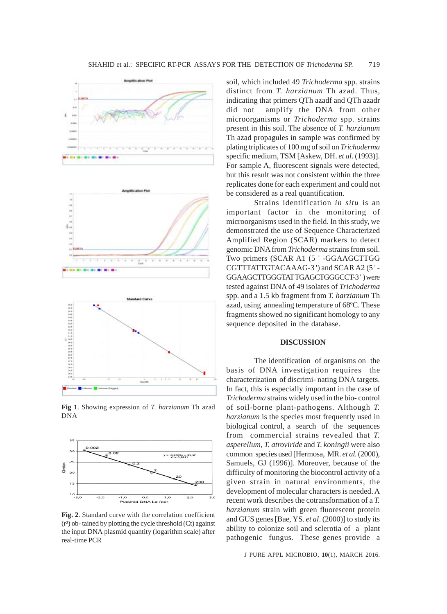





**Fig 1**. Showing expression of *T. harzianum* Th azad DNA



**Fig. 2**. Standard curve with the correlation coefficient (r²) ob- tained by plotting the cycle threshold (Ct) against the input DNA plasmid quantity (logarithm scale) after real-time PCR

soil, which included 49 *Trichoderma* spp. strains distinct from *T. harzianum* Th azad. Thus, indicating that primers QTh azadf and QTh azadr did not amplify the DNA from other microorganisms or *Trichoderma* spp. strains present in this soil. The absence of *T. harzianum* Th azad propagules in sample was confirmed by plating triplicates of 100 mg of soil on *Trichoderma* specific medium, TSM [Askew, DH. *et al*. (1993)]. For sample A, fluorescent signals were detected, but this result was not consistent within the three replicates done for each experiment and could not be considered as a real quantification.

Strains identification *in situ* is an important factor in the monitoring of microorganisms used in the field. In this study, we demonstrated the use of Sequence Characterized Amplified Region (SCAR) markers to detect genomic DNA from *Trichoderma* strains from soil. Two primers (SCAR A1 (5 ' -GGAAGCTTGG CGTTTATTGTACAAAG-3 ') and SCAR A2 (5 ' - GGAAGCTTGGGTAT TGAGCTGGGCCT-3 ' ) were tested against DNA of 49 isolates of *Trichoderma* spp. and a 1.5 kb fragment from *T. harzianum* Th azad, using annealing temperature of 68ºC. These fragments showed no significant homology to any sequence deposited in the database.

#### **DISCUSSION**

The identification of organisms on the basis of DNA investigation requires the characterization of discrimi- nating DNA targets. In fact, this is especially important in the case of *Trichoderma* strains widely used in the bio- control of soil-borne plant-pathogens. Although *T. harzianum* is the species most frequently used in biological control, a search of the sequences from commercial strains revealed that *T. asperellum, T. atroviride* and *T. koningii* were also common species used [Hermosa, MR. *et al*. (2000), Samuels, GJ (1996)]. Moreover, because of the difficulty of monitoring the biocontrol activity of a given strain in natural environments, the development of molecular characters is needed. A recent work describes the cotransformation of a *T. harzianum* strain with green fluorescent protein and GUS genes [Bae, YS. *et al*. (2000)] to study its ability to colonize soil and sclerotia of a plant pathogenic fungus. These genes provide a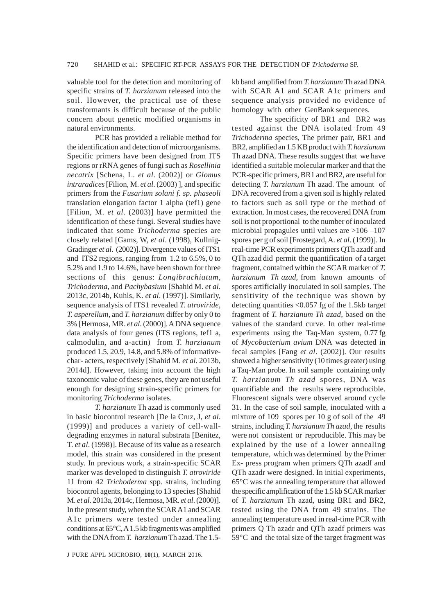valuable tool for the detection and monitoring of specific strains of *T. harzianum* released into the soil. However, the practical use of these transformants is difficult because of the public concern about genetic modified organisms in natural environments.

PCR has provided a reliable method for the identification and detection of microorganisms. Specific primers have been designed from ITS regions or rRNA genes of fungi such as *Rosellinia necatrix* [Schena, L. *et al*. (2002)] or *Glomus intraradices* [Filion, M. *et al*. (2003) ], and specific primers from the *Fusarium solani f. sp. phaseoli* translation elongation factor 1 alpha (tef1) gene [Filion, M. *et al*. (2003)] have permitted the identification of these fungi. Several studies have indicated that some *Trichoderma* species are closely related [Gams, W, *et al*. (1998), Kullnig-Gradinger *et al*. (2002)]. Divergence values of ITS1 and ITS2 regions, ranging from 1.2 to 6.5%, 0 to 5.2% and 1.9 to 14.6%, have been shown for three sections of this genus: *Longibrachiatum, Trichoderma,* and *Pachybasium* [Shahid M. *et al*. 2013c, 2014b, Kuhls, K. *et al*. (1997)]. Similarly, sequence analysis of ITS1 revealed *T. atroviride, T. asperellum*, and *T. harzianum* differ by only 0 to 3% [Hermosa, MR. *et al*. (2000)]. A DNA sequence data analysis of four genes (ITS regions, tef1 a, calmodulin, and a-actin) from *T. harzianum* produced 1.5, 20.9, 14.8, and 5.8% of informativechar- acters, respectively [Shahid M. *et al*. 2013b, 2014d]. However, taking into account the high taxonomic value of these genes, they are not useful enough for designing strain-specific primers for monitoring *Trichoderma* isolates.

*T. harzianum* Th azad is commonly used in basic biocontrol research [De la Cruz, J, *et al*. (1999)] and produces a variety of cell-walldegrading enzymes in natural substrata [Benitez, T. *et al*. (1998)]. Because of its value as a research model, this strain was considered in the present study. In previous work, a strain-specific SCAR marker was developed to distinguish *T. atroviride* 11 from 42 *Trichoderma s*pp. strains, including biocontrol agents, belonging to 13 species [Shahid M. *et al*. 2013a, 2014c, Hermosa, MR. *et al*. (2000)]. In the present study, when the SCAR A1 and SCAR A1c primers were tested under annealing conditions at 65°C, A 1.5 kb fragments was amplified with the DNA from *T. harzianum* Th azad. The 1.5-

J PURE APPL MICROBIO*,* **10**(1), MARCH 2016.

kb band amplified from *T. harzianum* Th azad DNA with SCAR A1 and SCAR A1c primers and sequence analysis provided no evidence of homology with other GenBank sequences.

The specificity of BR1 and BR2 was tested against the DNA isolated from 49 *Trichoderma* species, The primer pair, BR1 and BR2, amplified an 1.5 KB product with *T. harzianum* Th azad DNA. These results suggest that we have identified a suitable molecular marker and that the PCR-specific primers, BR1 and BR2, are useful for detecting *T. harzianum* Th azad. The amount of DNA recovered from a given soil is highly related to factors such as soil type or the method of extraction. In most cases, the recovered DNA from soil is not proportional to the number of inoculated microbial propagules until values are >106 –107 spores per g of soil [Frostegard, A. *et al*. (1999)]. In real-time PCR experiments primers QTh azadf and QTh azad did permit the quantification of a target fragment, contained within the SCAR marker of *T. harzianum Th azad*, from known amounts of spores artificially inoculated in soil samples. The sensitivity of the technique was shown by detecting quantities <0.057 fg of the 1.5kb target fragment of *T. harzianum Th azad*, based on the values of the standard curve. In other real-time experiments using the Taq-Man system, 0.77 fg of *Mycobacterium avium* DNA was detected in fecal samples [Fang *et al*. (2002)]. Our results showed a higher sensitivity (10 times greater) using a Taq-Man probe. In soil sample containing only *T. harzianum Th azad* spores, DNA was quantifiable and the results were reproducible. Fluorescent signals were observed around cycle 31. In the case of soil sample, inoculated with a mixture of 109 spores per 10 g of soil of the 49 strains, including *T. harzianum Th azad*, the results were not consistent or reproducible. This may be explained by the use of a lower annealing temperature, which was determined by the Primer Ex- press program when primers QTh azadf and QTh azadr were designed. In initial experiments, 65°C was the annealing temperature that allowed the specific amplification of the 1.5 kb SCAR marker of *T. harzianum* Th azad, using BR1 and BR2, tested using the DNA from 49 strains. The annealing temperature used in real-time PCR with primers Q Th azadr and QTh azadf primers was 59°C and the total size of the target fragment was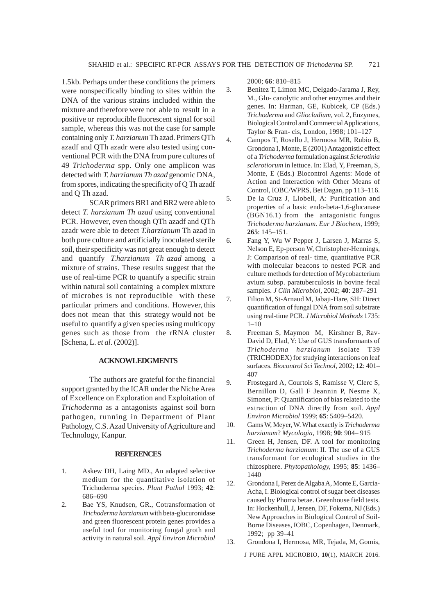1.5kb. Perhaps under these conditions the primers were nonspecifically binding to sites within the DNA of the various strains included within the mixture and therefore were not able to result in a positive or reproducible fluorescent signal for soil sample, whereas this was not the case for sample containing only *T. harzianum* Th azad. Primers QTh azadf and QTh azadr were also tested using conventional PCR with the DNA from pure cultures of 49 *Trichoderma* spp. Only one amplicon was detected with *T. harzianum Th azad* genomic DNA, from spores, indicating the specificity of Q Th azadf and Q Th azad*.*

SCAR primers BR1 and BR2 were able to detect *T. harzianum Th azad* using conventional PCR. However, even though QTh azadf and QTh azadr were able to detect *T.harzianum* Th azad in both pure culture and artificially inoculated sterile soil, their specificity was not great enough to detect and quantify *T.harzianum Th azad* among a mixture of strains. These results suggest that the use of real-time PCR to quantify a specific strain within natural soil containing a complex mixture of microbes is not reproducible with these particular primers and conditions. However, this does not mean that this strategy would not be useful to quantify a given species using multicopy genes such as those from the rRNA cluster [Schena, L. *et al*. (2002)].

#### **ACKNOWLEDGMENTS**

The authors are grateful for the financial support granted by the ICAR under the Niche Area of Excellence on Exploration and Exploitation of *Trichoderma* as a antagonists against soil born pathogen, running in Department of Plant Pathology, C.S. Azad University of Agriculture and Technology, Kanpur.

#### **REFERENCES**

- 1. Askew DH, Laing MD., An adapted selective medium for the quantitative isolation of Trichoderma species. *Plant Pathol* 1993; **42**: 686–690
- 2. Bae YS, Knudsen, GR., Cotransformation of *Trichoderma harzianum* with beta-glucuronidase and green fluorescent protein genes provides a useful tool for monitoring fungal groth and activity in natural soil. *Appl Environ Microbiol*

2000; **66**: 810–815

- 3. Benitez T, Limon MC, Delgado-Jarama J, Rey, M., Glu- canolytic and other enzymes and their genes. In: Harman, GE, Kubicek, CP (Eds.) *Trichoderma* and *Gliocladium*, vol. 2, Enzymes, Biological Control and Commercial Applications, Taylor & Fran- cis, London, 1998; 101–127
- 4. Campos T, Rosello J, Hermosa MR, Rubio B, Grondona I, Monte, E (2001) Antagonistic effect of a *Trichoderma* formulation against *Sclerotinia sclerotiorum* in lettuce. In: Elad, Y, Freeman, S, Monte, E (Eds.) Biocontrol Agents: Mode of Action and Interaction with Other Means of Control, IOBC/WPRS, Bet Dagan, pp 113–116.
- 5. De la Cruz J, Llobell, A: Purification and properties of a basic endo-beta-1,6-glucanase (BGN16.1) from the antagonistic fungus *Trichoderma harzianum*. *Eur J Biochem,* 1999; **265**: 145–151.
- 6. Fang Y, Wu W Pepper J, Larsen J, Marras S, Nelson E, Ep-person W, Christopher-Hennings, J: Comparison of real- time, quantitative PCR with molecular beacons to nested PCR and culture methods for detection of Mycobacterium avium subsp. paratuberculosis in bovine fecal samples. *J Clin Microbiol,* 2002; **40**: 287–291
- 7. Filion M, St-Arnaud M, Jabaji-Hare, SH: Direct quantification of fungal DNA from soil substrate using real-time PCR. *J Microbiol Methods* 1735: 1–10
- 8. Freeman S, Maymon M, Kirshner B, Rav-David D, Elad, Y: Use of GUS transformants of *Trichoderma harzianum* isolate T39 (TRICHODEX) for studying interactions on leaf surfaces. *Biocontrol Sci Technol,* 2002; **12**: 401– 407
- 9. Frostegard A, Courtois S, Ramisse V, Clerc S, Bernillon D, Gall F Jeannin P, Nesme X, Simonet, P: Quantification of bias related to the extraction of DNA directly from soil. *Appl Environ Microbiol* 1999; **65**: 5409–5420.
- 10. Gams W, Meyer, W. What exactly is *Trichoderma harzianum*? *Mycologia,* 1998; **90**: 904– 915
- 11. Green H, Jensen, DF. A tool for monitoring *Trichoderma harzianum*: II. The use of a GUS transformant for ecological studies in the rhizosphere. *Phytopathology,* 1995; **85**: 1436– 1440
- 12. Grondona I, Perez de Algaba A, Monte E, Garcia-Acha, I. Biological control of sugar beet diseases caused by Phoma betae. Greenhouse field tests. In: Hockenhull, J, Jensen, DF, Fokema, NJ (Eds.) New Approaches in Biological Control of Soil-Borne Diseases, IOBC, Copenhagen, Denmark, 1992; pp 39–41
- 13. Grondona I, Hermosa, MR, Tejada, M, Gomis,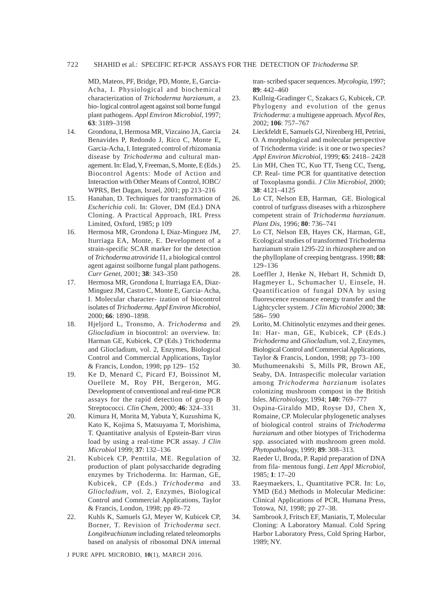#### 722 SHAHID et al.: SPECIFIC RT-PCR ASSAYS FOR THE DETECTION OF *Trichoderma* SP.

MD, Mateos, PF, Bridge, PD, Monte, E, Garcia-Acha, I. Physiological and biochemical characterization of *Trichoderma harzianum,* a bio- logical control agent against soil borne fungal plant pathogens. *Appl Environ Microbiol,* 1997; **63**: 3189–3198

- 14. Grondona, I, Hermosa MR, Vizcaino JA, Garcia Benavides P, Redondo J, Rico C, Monte E, Garcia-Acha, I. Integrated control of rhizomania disease by *Trichoderma* and cultural management. In: Elad, Y, Freeman, S, Monte, E (Eds.) Biocontrol Agents: Mode of Action and Interaction with Other Means of Control, IOBC/ WPRS, Bet Dagan, Israel, 2001; pp 213–216
- 15. Hanahan, D. Techniques for transformation of *Escherichia coli*. In: Glover, DM (Ed.) DNA Cloning. A Practical Approach, IRL Press Limited, Oxford, 1985; p 109
- 16. Hermosa MR, Grondona I, Diaz-Minguez JM, Iturriaga EA, Monte, E. Development of a strain-specific SCAR marker for the detection of *Trichoderma atroviride* 11, a biological control agent against soilborne fungal plant pathogens. *Curr Genet,* 2001; **38**: 343–350
- 17. Hermosa MR, Grondona I, Iturriaga EA, Diaz-Minguez JM, Castro C, Monte E, Garcia- Acha, I. Molecular character- ization of biocontrol isolates of *Trichoderma*. *Appl Environ Microbiol,* 2000; **66**: 1890–1898.
- 18. Hjeljord L, Tronsmo, A. *Trichoderma* and *Gliocladium* in biocontrol: an overview. In: Harman GE, Kubicek, CP (Eds.) Trichoderma and Gliocladium, vol. 2, Enzymes, Biological Control and Commercial Applications, Taylor & Francis, London, 1998; pp 129– 152
- 19. Ke D, Menard C, Picard FJ, Boissinot M, Ouellete M, Roy PH, Bergeron, MG. Development of conventional and real-time PCR assays for the rapid detection of group B Streptococci. *Clin Chem,* 2000; **46**: 324–331
- 20. Kimura H, Morita M, Yabuta Y, Kuzushima K, Kato K, Kojima S, Matsuyama T, Morishima, T. Quantitative analysis of Epstein-Barr virus load by using a real-time PCR assay. *J Clin Microbiol* 1999; **37**: 132–136
- 21. Kubicek CP, Penttila, ME. Regulation of production of plant polysaccharide degrading enzymes by Trichoderma. In: Harman, GE, Kubicek, CP (Eds.) *Trichoderma* and *Gliocladium*, vol. 2, Enzymes, Biological Control and Commercial Applications, Taylor & Francis, London, 1998; pp 49–72
- 22. Kuhls K, Samuels GJ, Meyer W, Kubicek CP, Borner, T. Revision of *Trichoderma sect. Longibrachiatum* including related teleomorphs based on analysis of ribosomal DNA internal

J PURE APPL MICROBIO*,* **10**(1), MARCH 2016.

tran- scribed spacer sequences. *Mycologia,* 1997; **89**: 442–460

- 23. Kullnig-Gradinger C, Szakacs G, Kubicek, CP. Phylogeny and evolution of the genus *Trichoderma*: a multigene approach. *Mycol Res,* 2002; **106**: 757–767
- 24. Lieckfeldt E, Samuels GJ, Nirenberg HI, Petrini, O. A morphological and molecular perspective of Trichoderma viride: is it one or two species? *Appl Environ Microbiol,* 1999; **65**: 2418– 2428
- 25. Lin MH, Chen TC, Kuo TT, Tseng CC, Tseng, CP. Real- time PCR for quantitative detection of Toxoplasma gondii. *J Clin Microbiol,* 2000; **38**: 4121–4125
- 26. Lo CT, Nelson EB, Harman, GE. Biological control of turfgrass diseases with a rhizosphere competent strain of *Trichoderma harzianum*. *Plant Dis,* 1996; **80**: 736–741
- 27. Lo CT, Nelson EB, Hayes CK, Harman, GE, Ecological studies of transformed Trichoderma harzianum strain 1295-22 in rhizosphere and on the phylloplane of creeping bentgrass. 1998; **88**: 129–136
- 28. Loeffler J, Henke N, Hebart H, Schmidt D, Hagmeyer L, Schumacher U, Einsele, H. Quantification of fungal DNA by using fluorescence resonance energy transfer and the Lightcycler system. *J Clin Microbiol* 2000; **38**: 586– 590
- 29. Lorito, M. Chitinolytic enzymes and their genes. In: Har- man, GE, Kubicek, CP (Eds.) *Trichoderma* and *Gliocladium*, vol. 2, Enzymes, Biological Control and Commercial Applications, Taylor & Francis, London, 1998; pp 73–100
- 30. Muthumeenakshi S, Mills PR, Brown AE, Seaby, DA. Intraspecific molecular variation among *Trichoderma harzianum* isolates colonizing mushroom compost in the British Isles. *Microbiology,* 1994; **140**: 769–777
- 31. Ospina-Giraldo MD, Royse DJ, Chen X, Romaine, CP. Molecular phylogenetic analyses of biological control strains of *Trichoderma harzianum* and other biotypes of Trichoderma spp. associated with mushroom green mold. *Phytopathology,* 1999; **89**: 308–313.
- 32. Raeder U, Broda, P. Rapid preparation of DNA from fila- mentous fungi. *Lett Appl Microbiol,* 1985; **1**: 17–20
- 33. Raeymaekers, L, Quantitative PCR. In: Lo, YMD (Ed.) Methods in Molecular Medicine: Clinical Applications of PCR, Humana Press, Totowa, NJ, 1998; pp 27–38.
- 34. Sambrook J, Fritsch EF, Maniatis, T, Molecular Cloning: A Laboratory Manual. Cold Spring Harbor Laboratory Press, Cold Spring Harbor, 1989; NY.